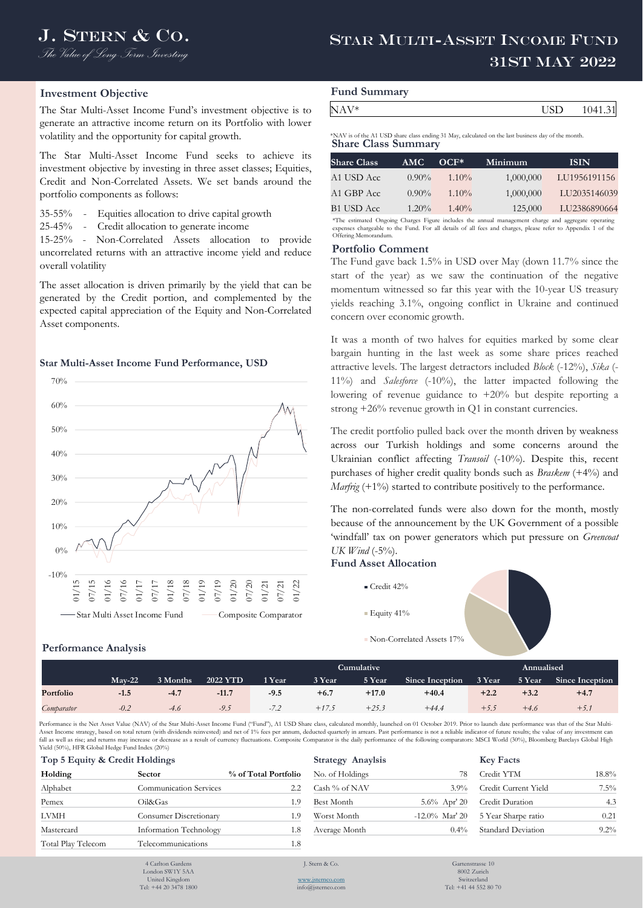## **Investment Objective**

The Star Multi-Asset Income Fund's investment objective is to generate an attractive income return on its Portfolio with lower volatility and the opportunity for capital growth.

The Star Multi-Asset Income Fund seeks to achieve its investment objective by investing in three asset classes; Equities, Credit and Non-Correlated Assets. We set bands around the portfolio components as follows:

35-55% - Equities allocation to drive capital growth

25-45% - Credit allocation to generate income

15-25% - Non-Correlated Assets allocation to provide uncorrelated returns with an attractive income yield and reduce overall volatility

The asset allocation is driven primarily by the yield that can be generated by the Credit portion, and complemented by the expected capital appreciation of the Equity and Non-Correlated Asset components.

## **Star Multi-Asset Income Fund Performance, USD**



# **Performance Analysis**

| <b>Fund Summary</b> |     |         |
|---------------------|-----|---------|
| NAV*                | USD | 1041.31 |

**Share Class Summary** \*NAV is of the A1 USD share class ending 31 May, calculated on the last business day of the month.

| <b>Share Class</b> | AMC      | $OCF*$   | Minimum   | <b>ISIN</b>  |
|--------------------|----------|----------|-----------|--------------|
| A1 USD Acc         | $0.90\%$ | $1.10\%$ | 1,000,000 | LU1956191156 |
| A1 GBP Acc         | $0.90\%$ | $1.10\%$ | 1,000,000 | LU2035146039 |
| <b>B1 USD Acc</b>  | $1.20\%$ | $1.40\%$ | 125,000   | LU2386890664 |

\*The estimated Ongoing Charges Figure includes the annual management charge and aggregate operating expenses chargeable to the Fund. For all details of all fees and charges, please refer to Appendix 1 of the Offering Memorandum. Offering Mem

### **Portfolio Comment**

The Fund gave back 1.5% in USD over May (down 11.7% since the start of the year) as we saw the continuation of the negative momentum witnessed so far this year with the 10-year US treasury yields reaching 3.1%, ongoing conflict in Ukraine and continued concern over economic growth.

It was a month of two halves for equities marked by some clear bargain hunting in the last week as some share prices reached attractive levels. The largest detractors included *Block* (-12%), *Sika* (- 11%) and *Salesforce* (-10%), the latter impacted following the lowering of revenue guidance to +20% but despite reporting a strong +26% revenue growth in Q1 in constant currencies.

The credit portfolio pulled back over the month driven by weakness across our Turkish holdings and some concerns around the Ukrainian conflict affecting *Transoil* (-10%). Despite this, recent purchases of higher credit quality bonds such as *Braskem* (+4%) and *Marfrig* (+1%) started to contribute positively to the performance.

The non-correlated funds were also down for the month, mostly because of the announcement by the UK Government of a possible 'windfall' tax on power generators which put pressure on *Greencoat UK Wind* (-5%).

## **Fund Asset Allocation**



|            |          |          |                 |                          | Cumulative |         | Annualised      |        |        |                 |
|------------|----------|----------|-----------------|--------------------------|------------|---------|-----------------|--------|--------|-----------------|
|            | $Mav-22$ | 3 Months | <b>2022 YTD</b> | 1 Year                   | 3 Year     | 5 Year  | Since Inception | 3 Year | 5 Year | Since Inception |
| Portfolio  | $-1.5$   | $-4.7$   | $-11.7$         | $-9.5$                   | $+6.7$     | $+17.0$ | $+40.4$         | $+2.2$ | $+3.2$ | $+4.7$          |
| Comparator | $-0.2$   | $-4.6$   | $-9.5$          | 7 <sub>2</sub><br>$-1.4$ | $+17.5$    | $+25.3$ | $+44.4$         | +5.5   | $+4.6$ | $+5.7$          |

Performance is the Net Asset Value (NAV) of the Star Multi-Asset Income Fund ("Fund"), A1 USD Share class, calculated monthly, launched on 01 October 2019. Prior to launch date performance was that of the Star Multi-Asset Income strategy, based on total return (with dividends reinvested) and net of 1% fees per annum, deducted quarterly in arrears. Past performance is not a reliable indicator of future results; the value of any investm fall as well as rise; and returns may increase or decrease as a result of currency fluctuations. Composite Comparator is the daily performance of the following comparators: MSCI World (30%), Bloomberg Barclays Global High Yield (50%), HFR Global Hedge Fund Index (20%)

| Top 5 Equity & Credit Holdings |                               | <b>Strategy Anaylsis</b> | <b>Key Facts</b> |                   |              |
|--------------------------------|-------------------------------|--------------------------|------------------|-------------------|--------------|
| Holding                        | <b>Sector</b>                 | % of Total Portfolio     | No. of Holdings  | 78                | Credit YTM   |
| Alphabet                       | <b>Communication Services</b> | 2.2                      | Cash % of NAV    | $3.9\%$           | Credit Curro |
| Pemex                          | Oil&Gas                       | 1.9                      | Best Month       | $5.6\%$ Apr' 20   | Credit Dura  |
| <b>LVMH</b>                    | <b>Consumer Discretionary</b> | 1.9                      | Worst Month      | $-12.0\%$ Mar' 20 | 5 Year Shar  |
| Mastercard                     | Information Technology        | 1.8                      | Average Month    | $0.4\%$           | Standard De  |
| Total Play Telecom             | Telecommunications            | 1.8                      |                  |                   |              |

| rield (50%), HFR Giodal Hedge Fund Index (20%) |                                |                      |                          |                   |                      |       |  |  |
|------------------------------------------------|--------------------------------|----------------------|--------------------------|-------------------|----------------------|-------|--|--|
|                                                | Top 5 Equity & Credit Holdings |                      | <b>Strategy Anaylsis</b> |                   | <b>Key Facts</b>     |       |  |  |
| Holding                                        | <b>Sector</b>                  | % of Total Portfolio | No. of Holdings          |                   | Credit YTM           | 18.8% |  |  |
| Alphabet                                       | <b>Communication Services</b>  |                      | Cash % of NAV            | $3.9\%$           | Credit Current Yield | 7.5%  |  |  |
| Pemex                                          | Oil&Gas                        | 1.9                  | Best Month               | $5.6\%$ Apr' 20   | Credit Duration      | 4.3   |  |  |
| LVMH                                           | <b>Consumer Discretionary</b>  | ι.9                  | Worst Month              | $-12.0\%$ Mar' 20 | 5 Year Sharpe ratio  | 0.21  |  |  |
| Mastercard                                     | Information Technology         | 1.8                  | Average Month            | $0.4\%$           | Standard Deviation   | 9.2%  |  |  |
|                                                |                                |                      |                          |                   |                      |       |  |  |

4 Carlton Garden London SW1Y 5AA United Kingdom Tel: +44 20 3478 1800 J. Stern & Co.

[www.jsternco.com](http://www.jsternco.com/) info@jsternco.com

Gartenstrasse 10 8002 Zurich Switzerland Tel: +41 44 552 80 70